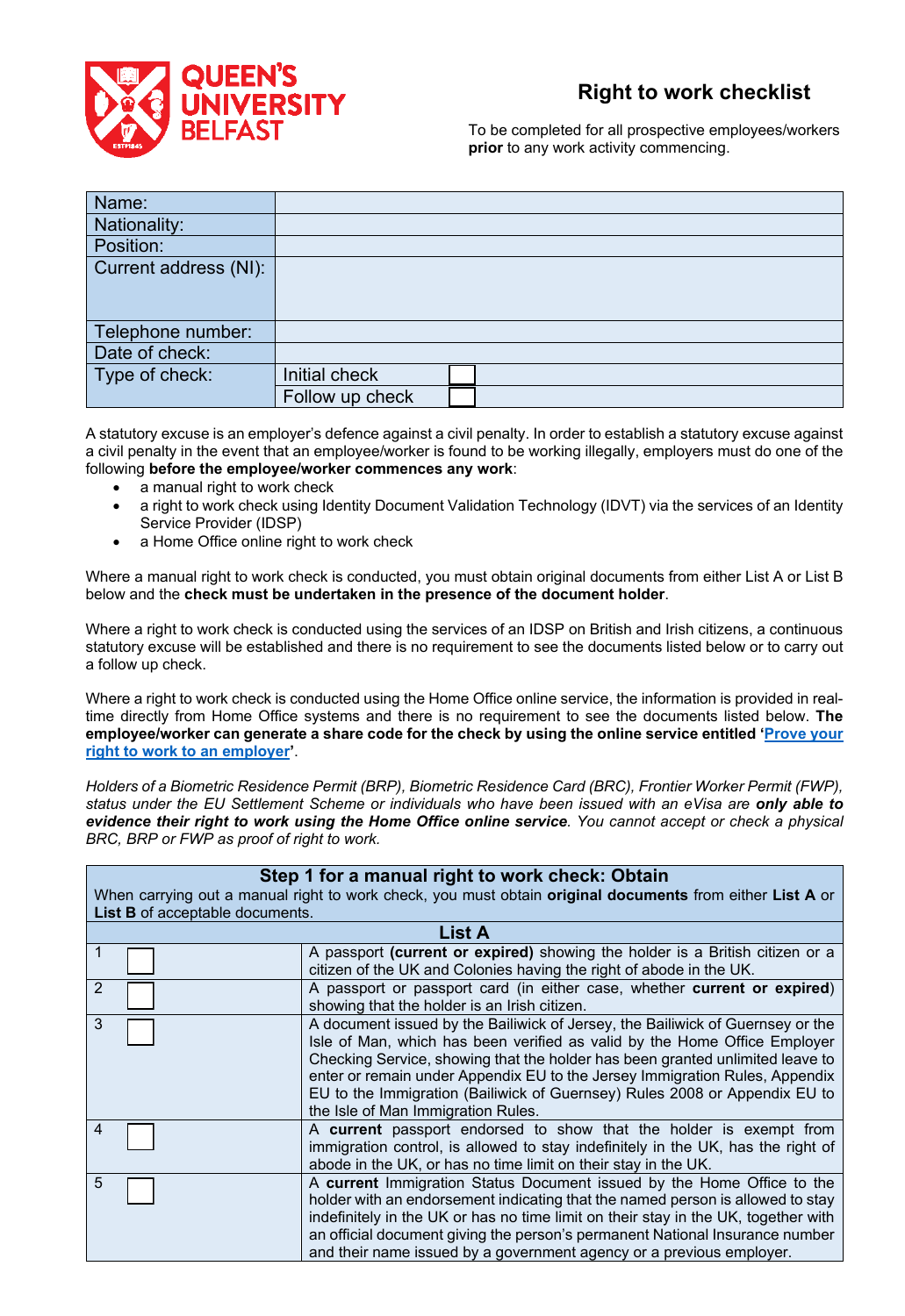

## **Right to work checklist**

To be completed for all prospective employees/workers **prior** to any work activity commencing.

| Name:                 |                 |  |
|-----------------------|-----------------|--|
| Nationality:          |                 |  |
| Position:             |                 |  |
| Current address (NI): |                 |  |
|                       |                 |  |
|                       |                 |  |
| Telephone number:     |                 |  |
| Date of check:        |                 |  |
| Type of check:        | Initial check   |  |
|                       | Follow up check |  |

A statutory excuse is an employer's defence against a civil penalty. In order to establish a statutory excuse against a civil penalty in the event that an employee/worker is found to be working illegally, employers must do one of the following **before the employee/worker commences any work**:

- a manual right to work check
- a right to work check using Identity Document Validation Technology (IDVT) via the services of an Identity Service Provider (IDSP)
- a Home Office online right to work check

Where a manual right to work check is conducted, you must obtain original documents from either List A or List B below and the **check must be undertaken in the presence of the document holder**.

Where a right to work check is conducted using the services of an IDSP on British and Irish citizens, a continuous statutory excuse will be established and there is no requirement to see the documents listed below or to carry out a follow up check.

Where a right to work check is conducted using the Home Office online service, the information is provided in realtime directly from Home Office systems and there is no requirement to see the documents listed below. **The employee/worker can generate a share code for the check by using the online service entitled ['Prove your](https://www.gov.uk/prove-right-to-work)  [right to work to an employer'](https://www.gov.uk/prove-right-to-work)**.

*Holders of a Biometric Residence Permit (BRP), Biometric Residence Card (BRC), Frontier Worker Permit (FWP), status under the EU Settlement Scheme or individuals who have been issued with an eVisa are only able to evidence their right to work using the Home Office online service. You cannot accept or check a physical BRC, BRP or FWP as proof of right to work.* 

| Step 1 for a manual right to work check: Obtain                                                          |                                                                                                                                                                                                                                                                                                                                                                                                                                                 |  |
|----------------------------------------------------------------------------------------------------------|-------------------------------------------------------------------------------------------------------------------------------------------------------------------------------------------------------------------------------------------------------------------------------------------------------------------------------------------------------------------------------------------------------------------------------------------------|--|
| When carrying out a manual right to work check, you must obtain original documents from either List A or |                                                                                                                                                                                                                                                                                                                                                                                                                                                 |  |
| List B of acceptable documents.                                                                          | <b>List A</b>                                                                                                                                                                                                                                                                                                                                                                                                                                   |  |
|                                                                                                          |                                                                                                                                                                                                                                                                                                                                                                                                                                                 |  |
|                                                                                                          | A passport (current or expired) showing the holder is a British citizen or a<br>citizen of the UK and Colonies having the right of abode in the UK.                                                                                                                                                                                                                                                                                             |  |
| 2                                                                                                        | A passport or passport card (in either case, whether current or expired)<br>showing that the holder is an Irish citizen.                                                                                                                                                                                                                                                                                                                        |  |
| 3                                                                                                        | A document issued by the Bailiwick of Jersey, the Bailiwick of Guernsey or the<br>Isle of Man, which has been verified as valid by the Home Office Employer<br>Checking Service, showing that the holder has been granted unlimited leave to<br>enter or remain under Appendix EU to the Jersey Immigration Rules, Appendix<br>EU to the Immigration (Bailiwick of Guernsey) Rules 2008 or Appendix EU to<br>the Isle of Man Immigration Rules. |  |
| 4                                                                                                        | A current passport endorsed to show that the holder is exempt from<br>immigration control, is allowed to stay indefinitely in the UK, has the right of<br>abode in the UK, or has no time limit on their stay in the UK.                                                                                                                                                                                                                        |  |
| 5                                                                                                        | A current Immigration Status Document issued by the Home Office to the<br>holder with an endorsement indicating that the named person is allowed to stay<br>indefinitely in the UK or has no time limit on their stay in the UK, together with<br>an official document giving the person's permanent National Insurance number<br>and their name issued by a government agency or a previous employer.                                          |  |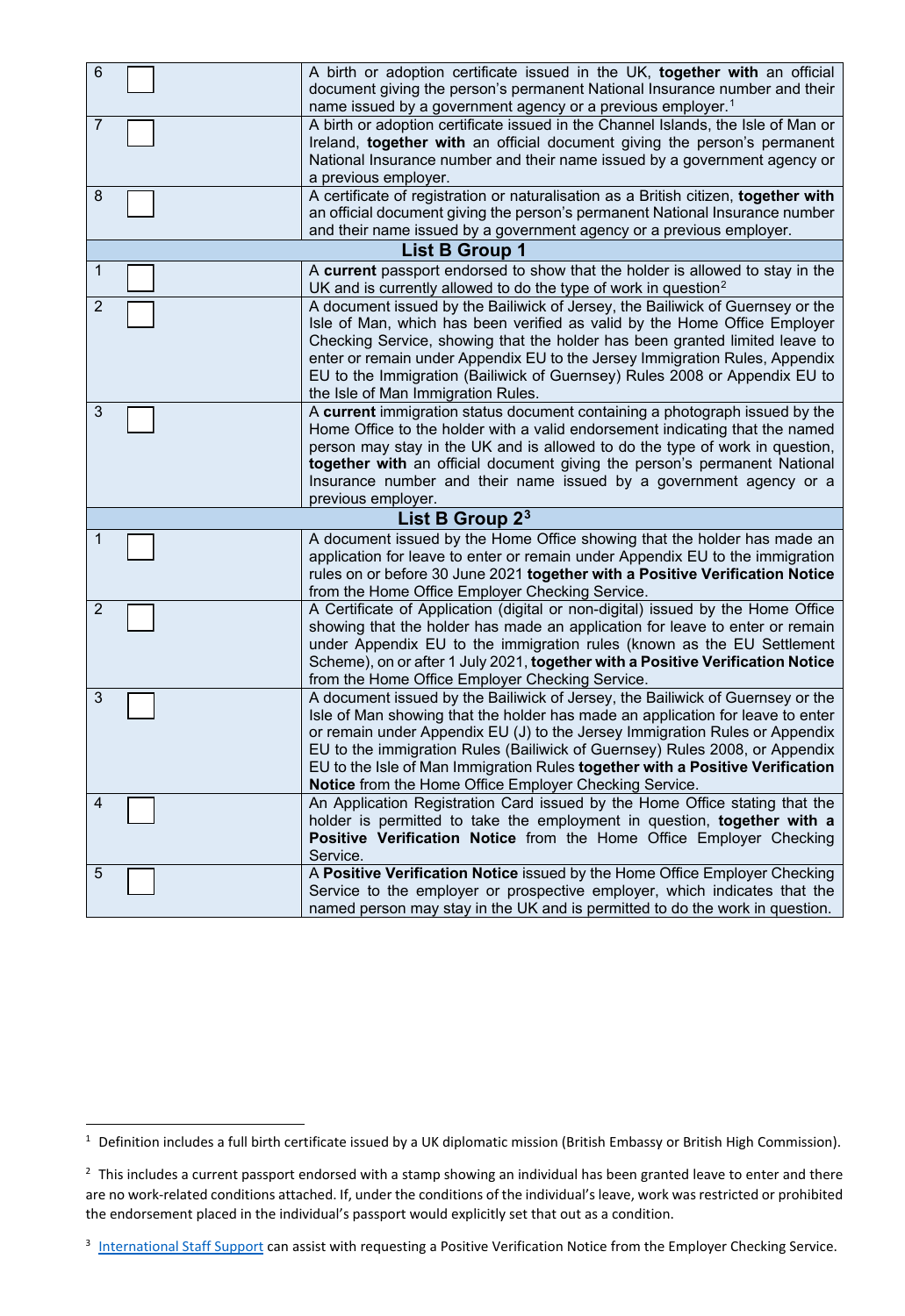| 6 | A birth or adoption certificate issued in the UK, together with an official<br>document giving the person's permanent National Insurance number and their |
|---|-----------------------------------------------------------------------------------------------------------------------------------------------------------|
|   | name issued by a government agency or a previous employer. <sup>1</sup>                                                                                   |
| 7 | A birth or adoption certificate issued in the Channel Islands, the Isle of Man or                                                                         |
|   | Ireland, together with an official document giving the person's permanent                                                                                 |
|   | National Insurance number and their name issued by a government agency or                                                                                 |
|   | a previous employer.                                                                                                                                      |
| 8 | A certificate of registration or naturalisation as a British citizen, together with                                                                       |
|   | an official document giving the person's permanent National Insurance number                                                                              |
|   | and their name issued by a government agency or a previous employer.                                                                                      |
|   | List B Group 1                                                                                                                                            |
| 1 | A current passport endorsed to show that the holder is allowed to stay in the                                                                             |
|   | UK and is currently allowed to do the type of work in question <sup>2</sup>                                                                               |
| 2 | A document issued by the Bailiwick of Jersey, the Bailiwick of Guernsey or the                                                                            |
|   | Isle of Man, which has been verified as valid by the Home Office Employer                                                                                 |
|   | Checking Service, showing that the holder has been granted limited leave to                                                                               |
|   | enter or remain under Appendix EU to the Jersey Immigration Rules, Appendix                                                                               |
|   | EU to the Immigration (Bailiwick of Guernsey) Rules 2008 or Appendix EU to                                                                                |
|   | the Isle of Man Immigration Rules.                                                                                                                        |
| 3 | A current immigration status document containing a photograph issued by the                                                                               |
|   | Home Office to the holder with a valid endorsement indicating that the named                                                                              |
|   | person may stay in the UK and is allowed to do the type of work in question,                                                                              |
|   | together with an official document giving the person's permanent National                                                                                 |
|   | Insurance number and their name issued by a government agency or a                                                                                        |
|   | previous employer.                                                                                                                                        |
|   | List B Group 2 <sup>3</sup>                                                                                                                               |
| 1 | A document issued by the Home Office showing that the holder has made an                                                                                  |
|   | application for leave to enter or remain under Appendix EU to the immigration                                                                             |
|   | rules on or before 30 June 2021 together with a Positive Verification Notice                                                                              |
|   | from the Home Office Employer Checking Service.                                                                                                           |
| 2 | A Certificate of Application (digital or non-digital) issued by the Home Office                                                                           |
|   | showing that the holder has made an application for leave to enter or remain                                                                              |
|   | under Appendix EU to the immigration rules (known as the EU Settlement                                                                                    |
|   | Scheme), on or after 1 July 2021, together with a Positive Verification Notice                                                                            |
|   | from the Home Office Employer Checking Service.                                                                                                           |
| 3 | A document issued by the Bailiwick of Jersey, the Bailiwick of Guernsey or the                                                                            |
|   | Isle of Man showing that the holder has made an application for leave to enter                                                                            |
|   | or remain under Appendix EU (J) to the Jersey Immigration Rules or Appendix                                                                               |
|   | EU to the immigration Rules (Bailiwick of Guernsey) Rules 2008, or Appendix                                                                               |
|   | EU to the Isle of Man Immigration Rules together with a Positive Verification                                                                             |
|   | Notice from the Home Office Employer Checking Service.                                                                                                    |
| 4 | An Application Registration Card issued by the Home Office stating that the                                                                               |
|   | holder is permitted to take the employment in question, together with a                                                                                   |
|   | Positive Verification Notice from the Home Office Employer Checking                                                                                       |
|   | Service.                                                                                                                                                  |
| 5 | A Positive Verification Notice issued by the Home Office Employer Checking                                                                                |
|   | Service to the employer or prospective employer, which indicates that the                                                                                 |
|   | named person may stay in the UK and is permitted to do the work in question.                                                                              |
|   |                                                                                                                                                           |

<span id="page-1-0"></span><sup>&</sup>lt;sup>1</sup> Definition includes a full birth certificate issued by a UK diplomatic mission (British Embassy or British High Commission).

<span id="page-1-1"></span><sup>&</sup>lt;sup>2</sup> This includes a current passport endorsed with a stamp showing an individual has been granted leave to enter and there are no work-related conditions attached. If, under the conditions of the individual's leave, work was restricted or prohibited the endorsement placed in the individual's passport would explicitly set that out as a condition.

<span id="page-1-2"></span><sup>&</sup>lt;sup>3</sup> [International Staff Support](mailto:internationalstaff@qub.ac.uk) can assist with requesting a Positive Verification Notice from the Employer Checking Service.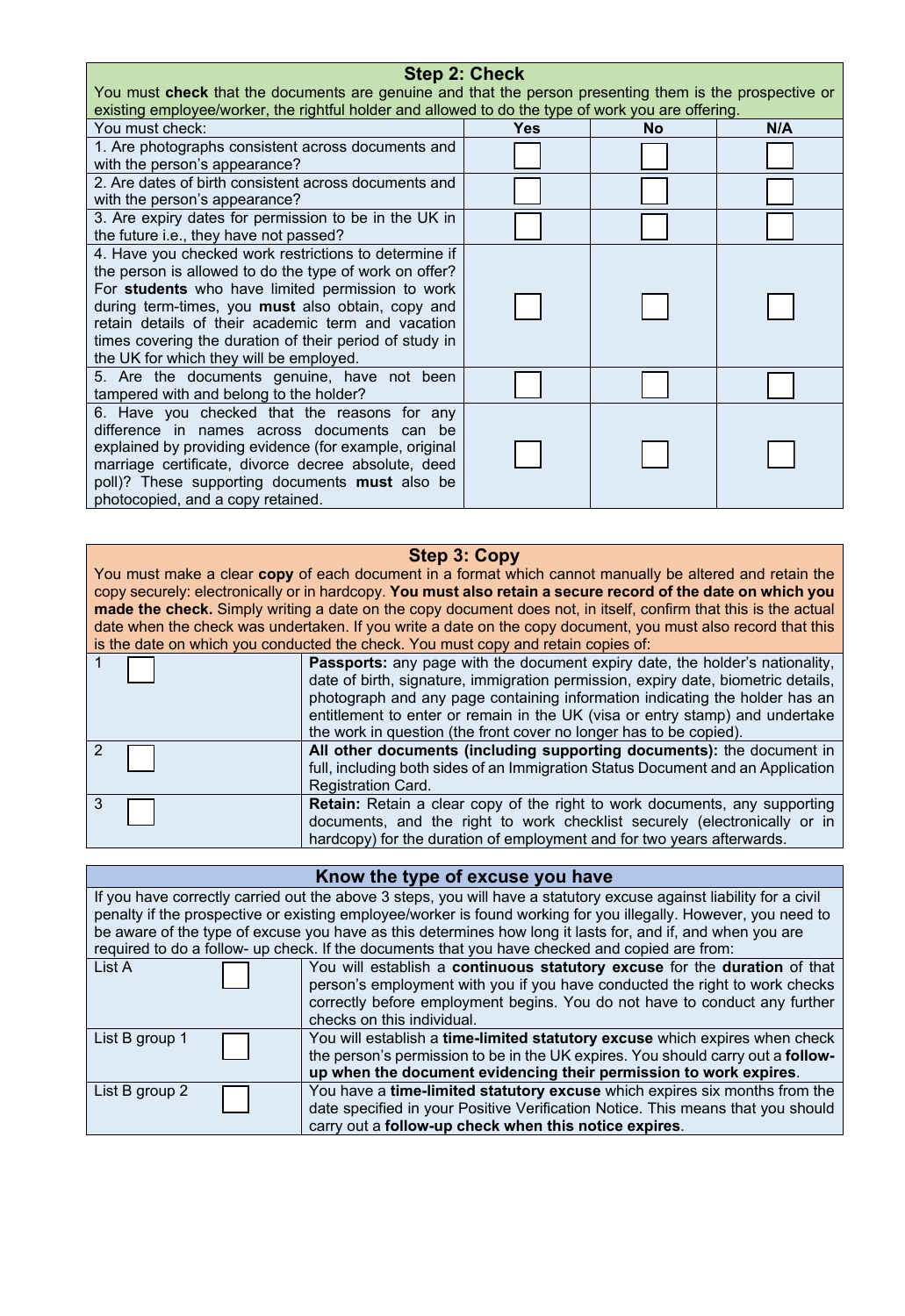| <b>Step 2: Check</b>                                                                                                                                                                                                                                                                                                                                                                        |     |    |     |
|---------------------------------------------------------------------------------------------------------------------------------------------------------------------------------------------------------------------------------------------------------------------------------------------------------------------------------------------------------------------------------------------|-----|----|-----|
| You must check that the documents are genuine and that the person presenting them is the prospective or                                                                                                                                                                                                                                                                                     |     |    |     |
| existing employee/worker, the rightful holder and allowed to do the type of work you are offering.                                                                                                                                                                                                                                                                                          |     |    |     |
| You must check:                                                                                                                                                                                                                                                                                                                                                                             | Yes | No | N/A |
| 1. Are photographs consistent across documents and<br>with the person's appearance?                                                                                                                                                                                                                                                                                                         |     |    |     |
| 2. Are dates of birth consistent across documents and<br>with the person's appearance?                                                                                                                                                                                                                                                                                                      |     |    |     |
| 3. Are expiry dates for permission to be in the UK in<br>the future i.e., they have not passed?                                                                                                                                                                                                                                                                                             |     |    |     |
| 4. Have you checked work restrictions to determine if<br>the person is allowed to do the type of work on offer?<br>For students who have limited permission to work<br>during term-times, you <b>must</b> also obtain, copy and<br>retain details of their academic term and vacation<br>times covering the duration of their period of study in<br>the UK for which they will be employed. |     |    |     |
| 5. Are the documents genuine, have not been<br>tampered with and belong to the holder?                                                                                                                                                                                                                                                                                                      |     |    |     |
| 6. Have you checked that the reasons for any<br>difference in names across documents can be<br>explained by providing evidence (for example, original<br>marriage certificate, divorce decree absolute, deed<br>poll)? These supporting documents must also be<br>photocopied, and a copy retained.                                                                                         |     |    |     |

## **Step 3: Copy**

You must make a clear **copy** of each document in a format which cannot manually be altered and retain the copy securely: electronically or in hardcopy. **You must also retain a secure record of the date on which you made the check.** Simply writing a date on the copy document does not, in itself, confirm that this is the actual date when the check was undertaken. If you write a date on the copy document, you must also record that this is the date on which you conducted the check. You must copy and retain copies of:

|     | Passports: any page with the document expiry date, the holder's nationality,<br>date of birth, signature, immigration permission, expiry date, biometric details,<br>photograph and any page containing information indicating the holder has an<br>entitlement to enter or remain in the UK (visa or entry stamp) and undertake<br>the work in question (the front cover no longer has to be copied). |
|-----|--------------------------------------------------------------------------------------------------------------------------------------------------------------------------------------------------------------------------------------------------------------------------------------------------------------------------------------------------------------------------------------------------------|
|     | All other documents (including supporting documents): the document in<br>full, including both sides of an Immigration Status Document and an Application<br><b>Registration Card.</b>                                                                                                                                                                                                                  |
| - 3 | <b>Retain:</b> Retain a clear copy of the right to work documents, any supporting<br>documents, and the right to work checklist securely (electronically or in<br>hardcopy) for the duration of employment and for two years afterwards.                                                                                                                                                               |

| Know the type of excuse you have                                                                                    |                                                                                                            |  |
|---------------------------------------------------------------------------------------------------------------------|------------------------------------------------------------------------------------------------------------|--|
| If you have correctly carried out the above 3 steps, you will have a statutory excuse against liability for a civil |                                                                                                            |  |
| penalty if the prospective or existing employee/worker is found working for you illegally. However, you need to     |                                                                                                            |  |
|                                                                                                                     | be aware of the type of excuse you have as this determines how long it lasts for, and if, and when you are |  |
| required to do a follow- up check. If the documents that you have checked and copied are from:                      |                                                                                                            |  |
| List A                                                                                                              | You will establish a continuous statutory excuse for the duration of that                                  |  |
|                                                                                                                     | person's employment with you if you have conducted the right to work checks                                |  |
|                                                                                                                     | correctly before employment begins. You do not have to conduct any further                                 |  |
|                                                                                                                     | checks on this individual.                                                                                 |  |
| List B group 1                                                                                                      | You will establish a time-limited statutory excuse which expires when check                                |  |
|                                                                                                                     | the person's permission to be in the UK expires. You should carry out a <b>follow-</b>                     |  |
|                                                                                                                     | up when the document evidencing their permission to work expires.                                          |  |
| List B group 2                                                                                                      | You have a time-limited statutory excuse which expires six months from the                                 |  |
|                                                                                                                     | date specified in your Positive Verification Notice. This means that you should                            |  |
|                                                                                                                     | carry out a follow-up check when this notice expires.                                                      |  |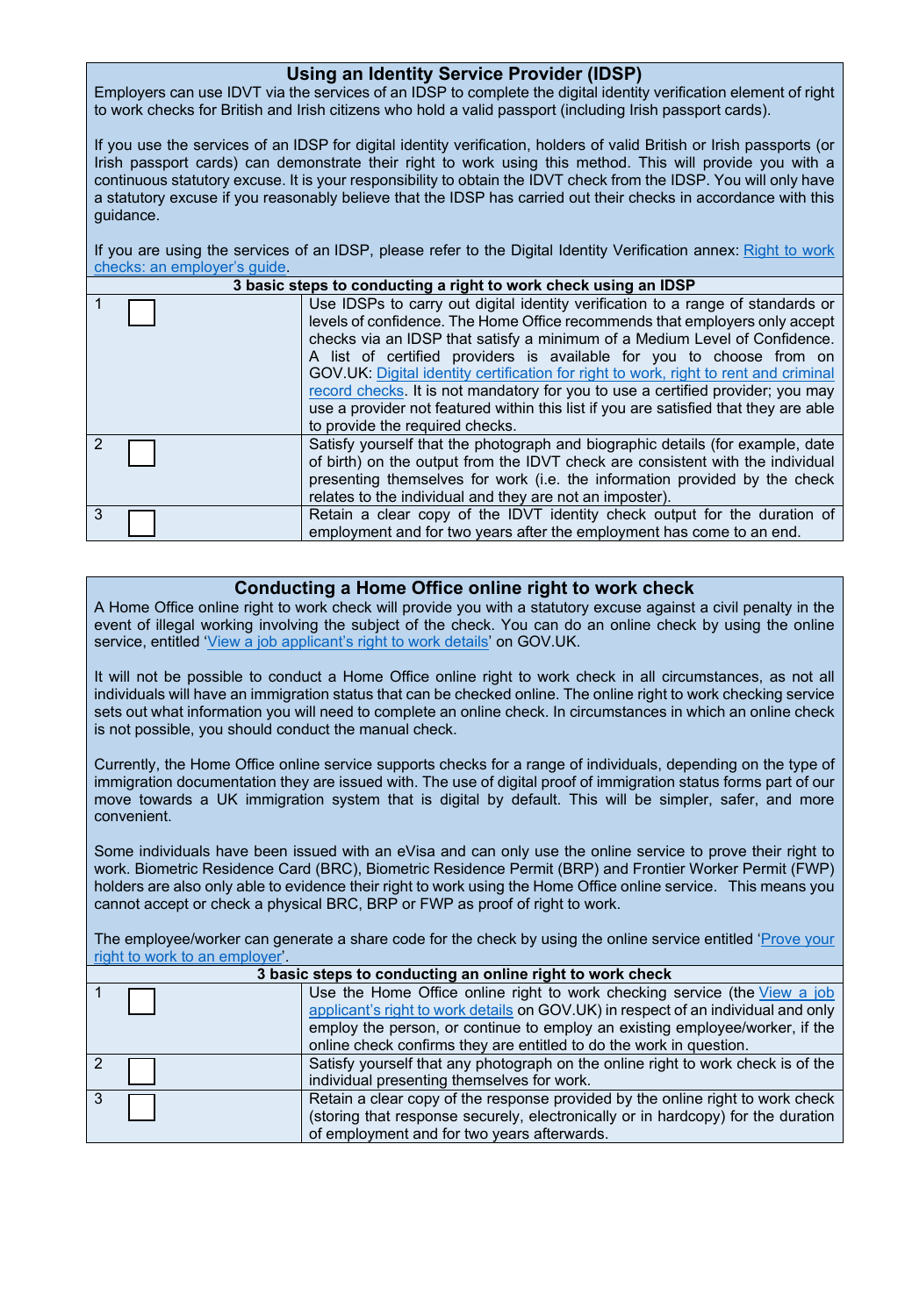## **Using an Identity Service Provider (IDSP)**

Employers can use IDVT via the services of an IDSP to complete the digital identity verification element of right to work checks for British and Irish citizens who hold a valid passport (including Irish passport cards).

If you use the services of an IDSP for digital identity verification, holders of valid British or Irish passports (or Irish passport cards) can demonstrate their right to work using this method. This will provide you with a continuous statutory excuse. It is your responsibility to obtain the IDVT check from the IDSP. You will only have a statutory excuse if you reasonably believe that the IDSP has carried out their checks in accordance with this guidance.

If you are using the services of an IDSP, please refer to the Digital Identity Verification annex: [Right to work](https://www.gov.uk/government/publications/right-to-work-checks-employers-guide)  [checks: an employer's guide.](https://www.gov.uk/government/publications/right-to-work-checks-employers-guide)

|   | 3 basic steps to conducting a right to work check using an IDSP |                                                                                                                                                                                                                                                                                                                                                                                                                                                                                                                                                                                                                            |  |  |
|---|-----------------------------------------------------------------|----------------------------------------------------------------------------------------------------------------------------------------------------------------------------------------------------------------------------------------------------------------------------------------------------------------------------------------------------------------------------------------------------------------------------------------------------------------------------------------------------------------------------------------------------------------------------------------------------------------------------|--|--|
|   |                                                                 | Use IDSPs to carry out digital identity verification to a range of standards or<br>levels of confidence. The Home Office recommends that employers only accept<br>checks via an IDSP that satisfy a minimum of a Medium Level of Confidence.<br>A list of certified providers is available for you to choose from on<br>GOV.UK: Digital identity certification for right to work, right to rent and criminal<br>record checks. It is not mandatory for you to use a certified provider; you may<br>use a provider not featured within this list if you are satisfied that they are able<br>to provide the required checks. |  |  |
|   |                                                                 | Satisfy yourself that the photograph and biographic details (for example, date<br>of birth) on the output from the IDVT check are consistent with the individual<br>presenting themselves for work (i.e. the information provided by the check<br>relates to the individual and they are not an imposter).                                                                                                                                                                                                                                                                                                                 |  |  |
| 3 |                                                                 | Retain a clear copy of the IDVT identity check output for the duration of<br>employment and for two years after the employment has come to an end.                                                                                                                                                                                                                                                                                                                                                                                                                                                                         |  |  |

## **Conducting a Home Office online right to work check**

A Home Office online right to work check will provide you with a statutory excuse against a civil penalty in the event of illegal working involving the subject of the check. You can do an online check by using the online service, entitled ['View a job applicant's right to work details'](https://www.gov.uk/view-right-to-work) on GOV.UK.

It will not be possible to conduct a Home Office online right to work check in all circumstances, as not all individuals will have an immigration status that can be checked online. The online right to work checking service sets out what information you will need to complete an online check. In circumstances in which an online check is not possible, you should conduct the manual check.

Currently, the Home Office online service supports checks for a range of individuals, depending on the type of immigration documentation they are issued with. The use of digital proof of immigration status forms part of our move towards a UK immigration system that is digital by default. This will be simpler, safer, and more convenient.

Some individuals have been issued with an eVisa and can only use the online service to prove their right to work. Biometric Residence Card (BRC), Biometric Residence Permit (BRP) and Frontier Worker Permit (FWP) holders are also only able to evidence their right to work using the Home Office online service. This means you cannot accept or check a physical BRC, BRP or FWP as proof of right to work.

The employee/worker can generate a share code for the check by using the online service entitled 'Prove your [right to work to an employer'.](https://www.gov.uk/prove-right-to-work)

| 3 basic steps to conducting an online right to work check |                                                                                                                                                                                                                                                                                                                       |  |  |
|-----------------------------------------------------------|-----------------------------------------------------------------------------------------------------------------------------------------------------------------------------------------------------------------------------------------------------------------------------------------------------------------------|--|--|
|                                                           | Use the Home Office online right to work checking service (the View a job<br>applicant's right to work details on GOV.UK) in respect of an individual and only<br>employ the person, or continue to employ an existing employee/worker, if the<br>online check confirms they are entitled to do the work in question. |  |  |
|                                                           | Satisfy yourself that any photograph on the online right to work check is of the<br>individual presenting themselves for work.                                                                                                                                                                                        |  |  |
|                                                           | Retain a clear copy of the response provided by the online right to work check<br>(storing that response securely, electronically or in hardcopy) for the duration<br>of employment and for two years afterwards.                                                                                                     |  |  |